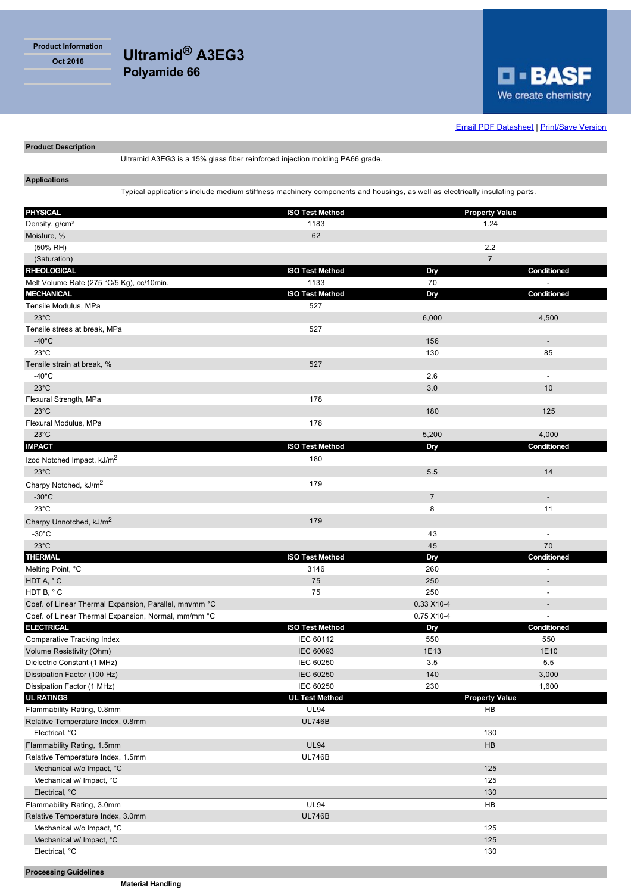**Product Information**

**Oct 2016 Ultramid® A3EG3 Polyamide 66**



**Email PDF Datasheet | Print/Save Version** 

**Product Description**

Ultramid A3EG3 is a 15% glass fiber reinforced injection molding PA66 grade.

**Applications**

Typical applications include medium stiffness machinery components and housings, as well as electrically insulating parts.

| <b>PHYSICAL</b>                                       | <b>ISO Test Method</b> | <b>Property Value</b>       |                          |
|-------------------------------------------------------|------------------------|-----------------------------|--------------------------|
| Density, g/cm <sup>3</sup>                            | 1183                   | 1.24                        |                          |
| Moisture, %                                           | 62                     |                             |                          |
| (50% RH)                                              |                        | 2.2                         |                          |
| (Saturation)                                          |                        | $\overline{7}$              |                          |
| <b>RHEOLOGICAL</b>                                    | <b>ISO Test Method</b> | Dry                         | Conditioned              |
| Melt Volume Rate (275 °C/5 Kg), cc/10min.             | 1133                   | 70                          |                          |
| <b>MECHANICAL</b>                                     | <b>ISO Test Method</b> | Dry                         | Conditioned              |
| Tensile Modulus, MPa                                  | 527                    |                             |                          |
| $23^{\circ}$ C                                        |                        | 6,000                       | 4,500                    |
| Tensile stress at break, MPa                          | 527                    |                             |                          |
| $-40^{\circ}$ C                                       |                        | 156                         | L.                       |
| $23^{\circ}$ C                                        |                        | 130                         | 85                       |
| Tensile strain at break, %                            | 527                    |                             |                          |
| $-40^{\circ}$ C                                       |                        | 2.6                         |                          |
| $23^{\circ}$ C                                        |                        | 3.0                         | 10                       |
| Flexural Strength, MPa                                | 178                    |                             |                          |
| $23^{\circ}$ C                                        |                        | 180                         | 125                      |
| Flexural Modulus, MPa                                 | 178                    |                             |                          |
| $23^{\circ}$ C                                        |                        | 5,200                       | 4,000                    |
| <b>IMPACT</b>                                         | <b>ISO Test Method</b> | Dry                         | <b>Conditioned</b>       |
| Izod Notched Impact, kJ/m <sup>2</sup>                | 180                    |                             |                          |
| $23^{\circ}$ C                                        |                        | 5.5                         | 14                       |
| Charpy Notched, kJ/m <sup>2</sup>                     | 179                    |                             |                          |
| $-30^{\circ}$ C                                       |                        | $\overline{7}$              | $\overline{\phantom{a}}$ |
| $23^{\circ}$ C                                        |                        | 8                           | 11                       |
| Charpy Unnotched, kJ/m <sup>2</sup>                   | 179                    |                             |                          |
| $-30^{\circ}$ C                                       |                        | 43                          | $\overline{\phantom{a}}$ |
| $23^{\circ}$ C                                        |                        | 45                          | 70                       |
| <b>THERMAL</b>                                        | <b>ISO Test Method</b> | Dry                         | Conditioned              |
| Melting Point, °C                                     | 3146                   | 260                         |                          |
| HDT A, °C                                             | 75                     | 250                         | $\overline{a}$           |
| HDT B, °C                                             | 75                     | 250                         |                          |
| Coef. of Linear Thermal Expansion, Parallel, mm/mm °C |                        | 0.33 X10-4                  |                          |
| Coef. of Linear Thermal Expansion, Normal, mm/mm °C   |                        | 0.75 X10-4                  |                          |
| <b>ELECTRICAL</b>                                     | <b>ISO Test Method</b> | Dry                         | Conditioned              |
| <b>Comparative Tracking Index</b>                     | IEC 60112              | 550                         | 550                      |
| Volume Resistivity (Ohm)                              | <b>IEC 60093</b>       | 1E13                        | 1E10                     |
| Dielectric Constant (1 MHz)                           | <b>IEC 60250</b>       | 3.5                         | 5.5                      |
| Dissipation Factor (100 Hz)                           | <b>IEC 60250</b>       | 140                         | 3,000                    |
| Dissipation Factor (1 MHz)                            | IEC 60250              | 230                         | 1,600                    |
| <b>UL RATINGS</b>                                     | <b>UL Test Method</b>  | <b>Property Value</b><br>HB |                          |
| Flammability Rating, 0.8mm                            | <b>UL94</b>            |                             |                          |
| Relative Temperature Index, 0.8mm                     | <b>UL746B</b>          |                             |                          |
| Electrical, °C                                        |                        | 130                         |                          |
| Flammability Rating, 1.5mm                            | <b>UL94</b>            | HB                          |                          |
| Relative Temperature Index, 1.5mm                     | <b>UL746B</b>          |                             |                          |
| Mechanical w/o Impact, °C                             |                        | 125                         |                          |
| Mechanical w/ Impact, °C<br>Electrical, °C            |                        | 125<br>130                  |                          |
| Flammability Rating, 3.0mm                            | <b>UL94</b>            | HB                          |                          |
| Relative Temperature Index, 3.0mm                     | <b>UL746B</b>          |                             |                          |
| Mechanical w/o Impact, °C                             |                        |                             |                          |
| Mechanical w/ Impact, °C                              |                        | 125<br>125                  |                          |
| Electrical, °C                                        |                        |                             | 130                      |
|                                                       |                        |                             |                          |

**Processing Guidelines**